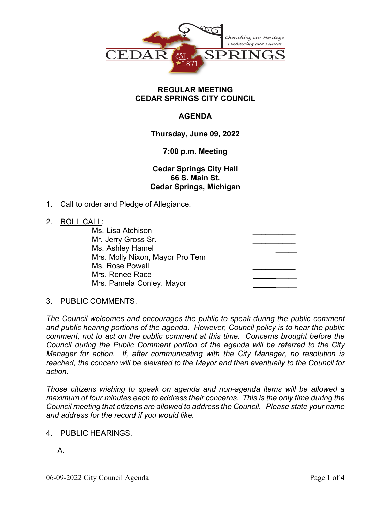

### **REGULAR MEETING CEDAR SPRINGS CITY COUNCIL**

# **AGENDA**

**Thursday, June 09, 2022**

## **7:00 p.m. Meeting**

**Cedar Springs City Hall 66 S. Main St. Cedar Springs, Michigan**

1. Call to order and Pledge of Allegiance.

## 2. ROLL CALL:

| Ms. Lisa Atchison               |  |
|---------------------------------|--|
| Mr. Jerry Gross Sr.             |  |
| Ms. Ashley Hamel                |  |
| Mrs. Molly Nixon, Mayor Pro Tem |  |
| Ms. Rose Powell                 |  |
| Mrs. Renee Race                 |  |
| Mrs. Pamela Conley, Mayor       |  |
|                                 |  |

# 3. PUBLIC COMMENTS.

*The Council welcomes and encourages the public to speak during the public comment and public hearing portions of the agenda. However, Council policy is to hear the public comment, not to act on the public comment at this time. Concerns brought before the Council during the Public Comment portion of the agenda will be referred to the City Manager for action. If, after communicating with the City Manager, no resolution is reached, the concern will be elevated to the Mayor and then eventually to the Council for action.*

*Those citizens wishing to speak on agenda and non-agenda items will be allowed a maximum of four minutes each to address their concerns. This is the only time during the Council meeting that citizens are allowed to address the Council. Please state your name and address for the record if you would like.*

### 4. PUBLIC HEARINGS.

A.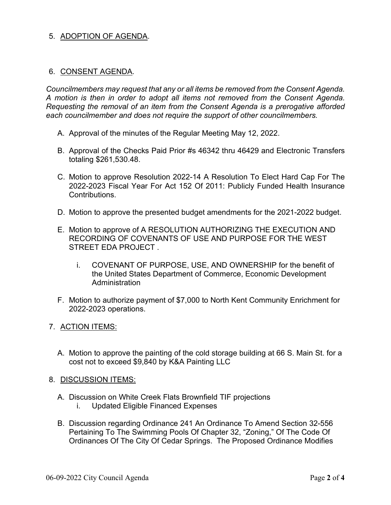## 5. ADOPTION OF AGENDA.

### 6. CONSENT AGENDA.

*Councilmembers may request that any or all items be removed from the Consent Agenda. A motion is then in order to adopt all items not removed from the Consent Agenda. Requesting the removal of an item from the Consent Agenda is a prerogative afforded each councilmember and does not require the support of other councilmembers.*

- A. Approval of the minutes of the Regular Meeting May 12, 2022.
- B. Approval of the Checks Paid Prior #s 46342 thru 46429 and Electronic Transfers totaling \$261,530.48.
- C. Motion to approve Resolution 2022-14 A Resolution To Elect Hard Cap For The 2022-2023 Fiscal Year For Act 152 Of 2011: Publicly Funded Health Insurance Contributions.
- D. Motion to approve the presented budget amendments for the 2021-2022 budget.
- E. Motion to approve of A RESOLUTION AUTHORIZING THE EXECUTION AND RECORDING OF COVENANTS OF USE AND PURPOSE FOR THE WEST STREET EDA PROJECT .
	- i. COVENANT OF PURPOSE, USE, AND OWNERSHIP for the benefit of the United States Department of Commerce, Economic Development **Administration**
- F. Motion to authorize payment of \$7,000 to North Kent Community Enrichment for 2022-2023 operations.
- 7. ACTION ITEMS:
	- A. Motion to approve the painting of the cold storage building at 66 S. Main St. for a cost not to exceed \$9,840 by K&A Painting LLC
- 8. DISCUSSION ITEMS:
	- A. Discussion on White Creek Flats Brownfield TIF projections i. Updated Eligible Financed Expenses
	- B. Discussion regarding Ordinance 241 An Ordinance To Amend Section 32-556 Pertaining To The Swimming Pools Of Chapter 32, "Zoning," Of The Code Of Ordinances Of The City Of Cedar Springs. The Proposed Ordinance Modifies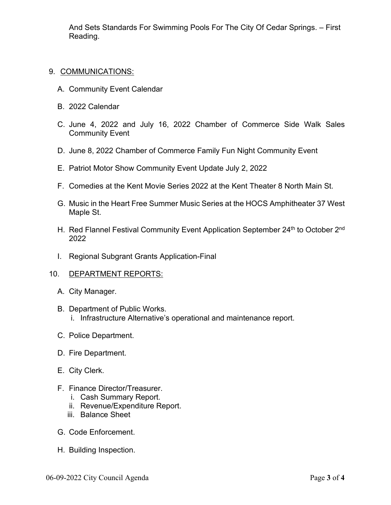And Sets Standards For Swimming Pools For The City Of Cedar Springs. – First Reading.

### 9. COMMUNICATIONS:

- A. Community Event Calendar
- B. 2022 Calendar
- C. June 4, 2022 and July 16, 2022 Chamber of Commerce Side Walk Sales Community Event
- D. June 8, 2022 Chamber of Commerce Family Fun Night Community Event
- E. Patriot Motor Show Community Event Update July 2, 2022
- F. Comedies at the Kent Movie Series 2022 at the Kent Theater 8 North Main St.
- G. Music in the Heart Free Summer Music Series at the HOCS Amphitheater 37 West Maple St.
- H. Red Flannel Festival Community Event Application September 24<sup>th</sup> to October 2<sup>nd</sup> 2022
- I. Regional Subgrant Grants Application-Final

#### 10. DEPARTMENT REPORTS:

- A. City Manager.
- B. Department of Public Works. i. Infrastructure Alternative's operational and maintenance report.
- C. Police Department.
- D. Fire Department.
- E. City Clerk.
- F. Finance Director/Treasurer.
	- i. Cash Summary Report.
	- ii. Revenue/Expenditure Report.
	- iii. Balance Sheet
- G. Code Enforcement.
- H. Building Inspection.